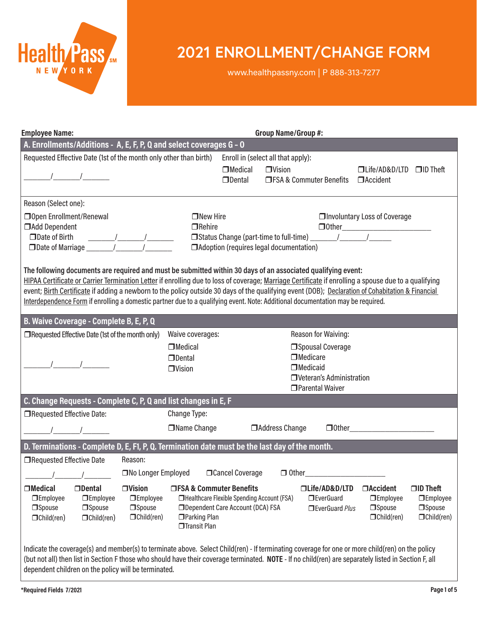

# **2021 ENROLLMENT/CHANGE FORM**

www.healthpassny.com | P 888-313-7277

| <b>Employee Name:</b>                                                                                                                                                                                                                                                                                                                                                                                                                                                                                                                                        | Group Name/Group #:                                                                                         |                                                                                                               |                                                                                                           |  |                                                                                                                                                     |  |
|--------------------------------------------------------------------------------------------------------------------------------------------------------------------------------------------------------------------------------------------------------------------------------------------------------------------------------------------------------------------------------------------------------------------------------------------------------------------------------------------------------------------------------------------------------------|-------------------------------------------------------------------------------------------------------------|---------------------------------------------------------------------------------------------------------------|-----------------------------------------------------------------------------------------------------------|--|-----------------------------------------------------------------------------------------------------------------------------------------------------|--|
| A. Enrollments/Additions - A, E, F, P, Q and select coverages G - O                                                                                                                                                                                                                                                                                                                                                                                                                                                                                          |                                                                                                             |                                                                                                               |                                                                                                           |  |                                                                                                                                                     |  |
| Requested Effective Date (1st of the month only other than birth)                                                                                                                                                                                                                                                                                                                                                                                                                                                                                            |                                                                                                             |                                                                                                               | Enroll in (select all that apply):                                                                        |  |                                                                                                                                                     |  |
| $\sqrt{2}$                                                                                                                                                                                                                                                                                                                                                                                                                                                                                                                                                   |                                                                                                             | $\Box$ Medical<br>$\Box$ Dental                                                                               | $\Box$ Vision<br><b>THE SA &amp; Commuter Benefits</b>                                                    |  | $\Box$ ID Theft<br>□Life/AD&D/LTD<br><b>O</b> Accident                                                                                              |  |
| Reason (Select one):                                                                                                                                                                                                                                                                                                                                                                                                                                                                                                                                         |                                                                                                             |                                                                                                               |                                                                                                           |  |                                                                                                                                                     |  |
| □ Open Enrollment/Renewal<br>Add Dependent<br>□ Date of Birth                                                                                                                                                                                                                                                                                                                                                                                                                                                                                                | $\Box$ New Hire<br>$\Box$ Rehire<br>$\frac{1}{\sqrt{2\pi}}$                                                 |                                                                                                               |                                                                                                           |  | □Involuntary Loss of Coverage<br>$\Box$ $\Box$ $\Box$                                                                                               |  |
|                                                                                                                                                                                                                                                                                                                                                                                                                                                                                                                                                              | □Date of Marriage _______ / /<br>□ Adoption (requires legal documentation)                                  |                                                                                                               |                                                                                                           |  |                                                                                                                                                     |  |
| The following documents are required and must be submitted within 30 days of an associated qualifying event:<br>HIPAA Certificate or Carrier Termination Letter if enrolling due to loss of coverage; Marriage Certificate if enrolling a spouse due to a qualifying<br>event; Birth Certificate if adding a newborn to the policy outside 30 days of the qualifying event (DOB); Declaration of Cohabitation & Financial<br>Interdependence Form if enrolling a domestic partner due to a qualifying event. Note: Additional documentation may be required. |                                                                                                             |                                                                                                               |                                                                                                           |  |                                                                                                                                                     |  |
| B. Waive Coverage - Complete B, E, P, Q                                                                                                                                                                                                                                                                                                                                                                                                                                                                                                                      |                                                                                                             |                                                                                                               |                                                                                                           |  |                                                                                                                                                     |  |
| $\Box$ Requested Effective Date (1st of the month only)                                                                                                                                                                                                                                                                                                                                                                                                                                                                                                      | Waive coverages:                                                                                            |                                                                                                               | Reason for Waiving:                                                                                       |  |                                                                                                                                                     |  |
|                                                                                                                                                                                                                                                                                                                                                                                                                                                                                                                                                              | $\Box$ Medical<br>$\Box$ Dental<br>$\Box$ Vision                                                            |                                                                                                               | Spousal Coverage<br>$\Box$ Medicare<br>$\Box$ Medicaid<br>□ Veteran's Administration<br>□ Parental Waiver |  |                                                                                                                                                     |  |
| C. Change Requests - Complete C, P, Q and list changes in E, F                                                                                                                                                                                                                                                                                                                                                                                                                                                                                               |                                                                                                             |                                                                                                               |                                                                                                           |  |                                                                                                                                                     |  |
| □Requested Effective Date:                                                                                                                                                                                                                                                                                                                                                                                                                                                                                                                                   | Change Type:                                                                                                |                                                                                                               |                                                                                                           |  |                                                                                                                                                     |  |
|                                                                                                                                                                                                                                                                                                                                                                                                                                                                                                                                                              | □Name Change                                                                                                |                                                                                                               | □ Address Change                                                                                          |  |                                                                                                                                                     |  |
| D. Terminations - Complete D, E, F1, P, Q. Termination date must be the last day of the month.                                                                                                                                                                                                                                                                                                                                                                                                                                                               |                                                                                                             |                                                                                                               |                                                                                                           |  |                                                                                                                                                     |  |
| □Requested Effective Date                                                                                                                                                                                                                                                                                                                                                                                                                                                                                                                                    | Reason:                                                                                                     |                                                                                                               |                                                                                                           |  |                                                                                                                                                     |  |
|                                                                                                                                                                                                                                                                                                                                                                                                                                                                                                                                                              | □No Longer Employed □ Cancel Coverage □ Other                                                               |                                                                                                               |                                                                                                           |  |                                                                                                                                                     |  |
| □Medical<br>□Dental<br><b>IDEmployee</b><br><b>IDEmployee</b><br><b>Spouse</b><br><b>Spouse</b><br>$\Box$ Child(ren)<br>$\Box$ Child(ren)                                                                                                                                                                                                                                                                                                                                                                                                                    | $\Box$ Vision<br><b>IDEmployee</b><br><b>Spouse</b><br>□ Parking Plan<br>$\Box$ Child(ren)<br>□Transit Plan | □FSA & Commuter Benefits<br>□Healthcare Flexible Spending Account (FSA)<br>□ Dependent Care Account (DCA) FSA | □Life/AD&D/LTD<br><b>I</b> EverGuard<br>EverGuard Plus                                                    |  | <b>OAccident</b><br>$\Box$ ID Theft<br><b>IDEmployee</b><br><b>IDEmployee</b><br>□Spouse<br><b>Spouse</b><br>$\Box$ Child(ren)<br>$\Box$ Child(ren) |  |
| Indicate the coverage(s) and member(s) to terminate above. Select Child(ren) - If terminating coverage for one or more child(ren) on the policy<br>(but not all) than ligt in Costian E these who should hove their coverage terminated. NOTE, If no shild(ren) are consectely ligted in Costian E all                                                                                                                                                                                                                                                       |                                                                                                             |                                                                                                               |                                                                                                           |  |                                                                                                                                                     |  |

(but not all) then list in Section F those who should have their coverage terminated. **NOTE** - If no child(ren) are separately listed in Section F, all dependent children on the policy will be terminated.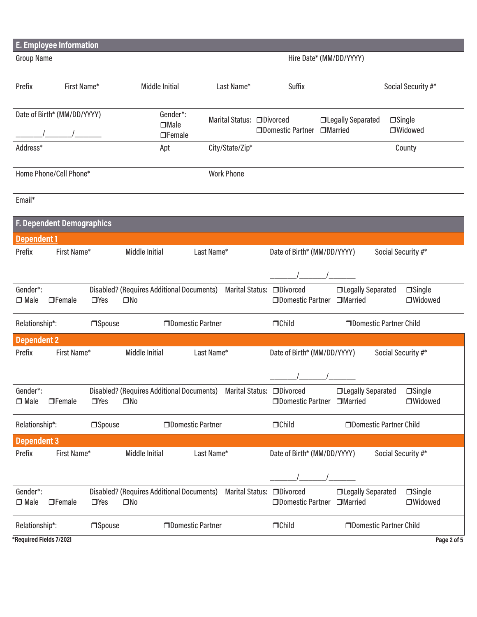| <b>E. Employee Information</b>                                                                             |                                              |               |                                                                      |                            |                             |                                |                    |
|------------------------------------------------------------------------------------------------------------|----------------------------------------------|---------------|----------------------------------------------------------------------|----------------------------|-----------------------------|--------------------------------|--------------------|
|                                                                                                            | <b>Group Name</b><br>Hire Date* (MM/DD/YYYY) |               |                                                                      |                            |                             |                                |                    |
|                                                                                                            |                                              |               |                                                                      |                            |                             |                                |                    |
| Prefix                                                                                                     | First Name*                                  |               | Middle Initial                                                       | Last Name*                 | <b>Suffix</b>               |                                | Social Security #* |
|                                                                                                            |                                              |               |                                                                      |                            |                             |                                |                    |
|                                                                                                            | Date of Birth* (MM/DD/YYYY)                  |               | Gender*:<br>$\Box$ Male                                              | Marital Status: □ Divorced |                             | <b>ILegally Separated</b>      | $\Box$ Single      |
|                                                                                                            |                                              |               | $\Box$ Female                                                        |                            | □Domestic Partner □Married  |                                | □Widowed           |
| Address*                                                                                                   |                                              |               | Apt                                                                  | City/State/Zip*            |                             |                                | County             |
|                                                                                                            | Home Phone/Cell Phone*                       |               |                                                                      | <b>Work Phone</b>          |                             |                                |                    |
|                                                                                                            |                                              |               |                                                                      |                            |                             |                                |                    |
| Email*                                                                                                     |                                              |               |                                                                      |                            |                             |                                |                    |
|                                                                                                            |                                              |               |                                                                      |                            |                             |                                |                    |
|                                                                                                            | F. Dependent Demographics                    |               |                                                                      |                            |                             |                                |                    |
| <b>Dependent1</b>                                                                                          |                                              |               |                                                                      |                            |                             |                                |                    |
| Prefix                                                                                                     | First Name*                                  |               | Middle Initial                                                       | Last Name*                 | Date of Birth* (MM/DD/YYYY) |                                | Social Security #* |
|                                                                                                            |                                              |               |                                                                      |                            |                             |                                |                    |
| Gender*:                                                                                                   |                                              |               | Disabled? (Requires Additional Documents) Marital Status: □ Divorced |                            |                             | <b>ILegally Separated</b>      | $\Box$ Single      |
| $\Box$ Male                                                                                                | $\Box$ Female                                | $\Box$ Yes    | $\square$ No                                                         |                            |                             | □Domestic Partner □Married     | □Widowed           |
|                                                                                                            |                                              |               |                                                                      |                            |                             |                                |                    |
| <b>ODomestic Partner Child</b><br>Relationship*:<br>□Domestic Partner<br>$\Box$ Child<br><b>Spouse</b>     |                                              |               |                                                                      |                            |                             |                                |                    |
| <b>Dependent 2</b>                                                                                         |                                              |               |                                                                      |                            |                             |                                |                    |
| Prefix<br>First Name*<br>Middle Initial<br>Last Name*<br>Social Security #*<br>Date of Birth* (MM/DD/YYYY) |                                              |               |                                                                      |                            |                             |                                |                    |
|                                                                                                            |                                              |               |                                                                      |                            |                             |                                |                    |
| Gender*:                                                                                                   |                                              |               | Disabled? (Requires Additional Documents) Marital Status: □Divorced  |                            |                             | <b>ILegally Separated</b>      | $\Box$ Single      |
| $\Box$ Male                                                                                                | $\Box$ Female                                | $\Box$ Yes    | $\square$ No                                                         |                            | □Domestic Partner           | □Married                       | <b>OWidowed</b>    |
| Relationship*:                                                                                             |                                              | $\Box$ Spouse | □Domestic Partner                                                    |                            | $\Box$ Child                | <b>ODomestic Partner Child</b> |                    |
| <b>Dependent 3</b>                                                                                         |                                              |               |                                                                      |                            |                             |                                |                    |
| Prefix                                                                                                     | First Name*                                  |               | <b>Middle Initial</b>                                                | Last Name*                 | Date of Birth* (MM/DD/YYYY) |                                | Social Security #* |
|                                                                                                            |                                              |               |                                                                      |                            |                             |                                |                    |
|                                                                                                            |                                              |               |                                                                      |                            |                             |                                |                    |
| Gender*:                                                                                                   |                                              |               | Disabled? (Requires Additional Documents)                            |                            | Marital Status: □ Divorced  | □Legally Separated             | $\Box$ Single      |
| $\Box$ Male                                                                                                | $\Box$ Female                                | $\Box$ Yes    | $\square$ No                                                         |                            | □ Domestic Partner          | <b>I</b> Married               | □Widowed           |
| Relationship*:                                                                                             |                                              | $\Box$ Spouse | <b>ODomestic Partner</b>                                             |                            | $\Box$ Child                | <b>ODomestic Partner Child</b> |                    |
| *Required Fields 7/2021<br>Page 2 of 5                                                                     |                                              |               |                                                                      |                            |                             |                                |                    |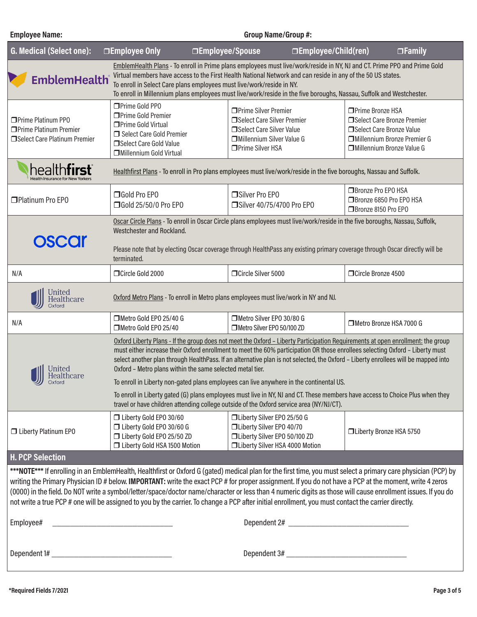### Virtual members have access to the First Health National Network and can reside in any of the 50 US states. **EmblemHealth** To enroll in Select Care plans employees must live/work/reside in NY. To enroll in Millennium plans employees must live/work/reside in the five boroughs, Nassau, Suffolk and Westchester. Prime Gold PPO □Prime Silver Premier □Prime Bronze HSA □Prime Gold Premier □Prime Platinum PP0 Select Care Silver Premier Select Care Bronze Premier □Prime Gold Virtual □Prime Platinum Premier □Select Care Silver Value □Select Care Bronze Value Select Care Gold Premier □Select Care Platinum Premier Millennium Silver Value G Millennium Bronze Premier G **□Select Care Gold Value Prime Silver HSA** Millennium Bronze Value G Millennium Gold Virtual healthfirst Healthfirst Plans - To enroll in Pro plans employees must live/work/reside in the five boroughs, Nassau and Suffolk. **□Bronze Pro EPO HSA** Platinum Pro EPO Gold Pro EPO □Silver Pro EPO ■Bronze 6850 Pro FPO HSA Gold 25/50/0 Pro EPO Silver 40/75/4700 Pro EPO □Bronze 8150 Pro EPO Oscar Circle Plans - To enroll in Oscar Circle plans employees must live/work/reside in the five boroughs, Nassau, Suffolk, Westchester and Rockland. **OSCOr** Please note that by electing Oscar coverage through HealthPass any existing primary coverage through Oscar directly will be terminated. N/A Circle Gold 2000 Circle Silver 5000 Circle Silver 5000 Circle Bronze 4500 **United** Healthcare Oxford Metro Plans - To enroll in Metro plans employees must live/work in NY and NJ. Oxford N/A Metro Gold EPO 25/40 G Metro Silver EPO 30/80 G Metro Silver EPO 50/100 ZD Metro Bronze HSA 7000 G Metro Gold EPO 25/40 Oxford Liberty Plans - If the group does not meet the Oxford – Liberty Participation Requirements at open enrollment: the group must either increase their Oxford enrollment to meet the 60% participation OR those enrollees selecting Oxford – Liberty must select another plan through HealthPass. If an alternative plan is not selected, the Oxford – Liberty enrollees will be mapped into **United** Oxford – Metro plans within the same selected metal tier. Healthcare To enroll in Liberty non-gated plans employees can live anywhere in the continental US. To enroll in Liberty gated (G) plans employees must live in NY, NJ and CT. These members have access to Choice Plus when they travel or have children attending college outside of the Oxford service area (NY/NJ/CT). Liberty Gold EPO 30/60 Liberty Silver EPO 25/50 G Liberty Gold EPO 30/60 G Liberty Silver EPO 40/70 □ Liberty Platinum EPO Liberty Bronze HSA 5750 Liberty Gold EPO 25/50 ZD Liberty Silver EPO 50/100 ZD □ Liberty Gold HSA 1500 Motion Liberty Silver HSA 4000 Motion **H. PCP Selection** \*\*\*NOTE\*\*\* If enrolling in an EmblemHealth, Healthfirst or Oxford G (gated) medical plan for the first time, you must select a primary care physician (PCP) by writing the Primary Physician ID # below. **IMPORTANT:** write the exact PCP # for proper assignment. If you do not have a PCP at the moment, write 4 zeros (0000) in the field. Do NOT write a symbol/letter/space/doctor name/character or less than 4 numeric digits as those will cause enrollment issues. If you do not write a true PCP # one will be assigned to you by the carrier. To change a PCP after initial enrollment, you must contact the carrier directly. Employee# example and the set of the set of the set of the set of the Dependent 2#  $\Box$ Dependent 1# \_\_\_\_\_\_\_\_\_\_\_\_\_\_\_\_\_\_\_\_\_\_\_\_\_\_\_ Dependent 3# \_\_\_\_\_\_\_\_\_\_\_\_\_\_\_\_\_\_\_\_\_\_\_\_\_\_\_

**G. Medical (Select one): Employee Only Employee/Spouse Employee/Child(ren) Family**

**Employee Name: Group Name/Group #:**

EmblemHealth Plans - To enroll in Prime plans employees must live/work/reside in NY, NJ and CT. Prime PPO and Prime Gold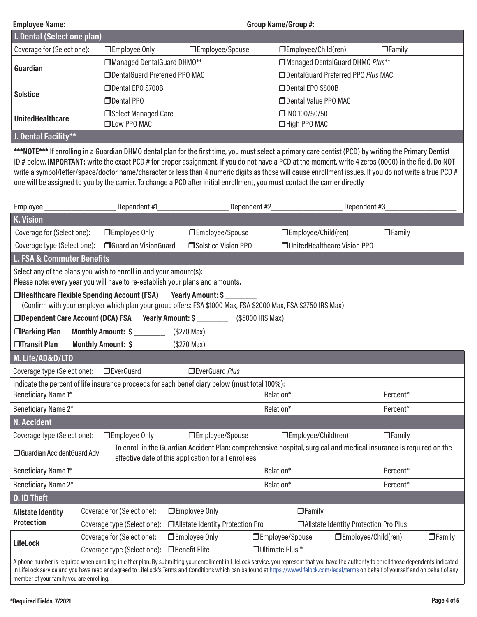| <b>Employee Name:</b><br><b>Group Name/Group #:</b>                                                                                                                                                                                                                                                                                                                                                                                                                                                                                                                                                       |                                                    |                                    |                                      |                                         |  |  |  |
|-----------------------------------------------------------------------------------------------------------------------------------------------------------------------------------------------------------------------------------------------------------------------------------------------------------------------------------------------------------------------------------------------------------------------------------------------------------------------------------------------------------------------------------------------------------------------------------------------------------|----------------------------------------------------|------------------------------------|--------------------------------------|-----------------------------------------|--|--|--|
| I. Dental (Select one plan)                                                                                                                                                                                                                                                                                                                                                                                                                                                                                                                                                                               |                                                    |                                    |                                      |                                         |  |  |  |
| Coverage for (Select one):                                                                                                                                                                                                                                                                                                                                                                                                                                                                                                                                                                                | □ Employee Only                                    | □Employee/Spouse                   | $\Box$ Employee/Child(ren)           | $\Box$ Family                           |  |  |  |
| Guardian                                                                                                                                                                                                                                                                                                                                                                                                                                                                                                                                                                                                  | Managed DentalGuard DHMO**                         |                                    | Managed DentalGuard DHMO Plus**      |                                         |  |  |  |
|                                                                                                                                                                                                                                                                                                                                                                                                                                                                                                                                                                                                           | <b>IDentalGuard Preferred PPO MAC</b>              |                                    | □ DentalGuard Preferred PPO Plus MAC |                                         |  |  |  |
| <b>Solstice</b>                                                                                                                                                                                                                                                                                                                                                                                                                                                                                                                                                                                           | Dental EPO S700B                                   |                                    | Dental EPO S800B                     |                                         |  |  |  |
|                                                                                                                                                                                                                                                                                                                                                                                                                                                                                                                                                                                                           | □Dental PPO                                        |                                    | Dental Value PPO MAC                 |                                         |  |  |  |
| <b>UnitedHealthcare</b>                                                                                                                                                                                                                                                                                                                                                                                                                                                                                                                                                                                   | Select Managed Care<br><b>OLow PPO MAC</b>         |                                    | □INO 100/50/50<br>□High PPO MAC      |                                         |  |  |  |
| J. Dental Facility**                                                                                                                                                                                                                                                                                                                                                                                                                                                                                                                                                                                      |                                                    |                                    |                                      |                                         |  |  |  |
| ***NOTE*** If enrolling in a Guardian DHMO dental plan for the first time, you must select a primary care dentist (PCD) by writing the Primary Dentist<br>ID # below. IMPORTANT: write the exact PCD # for proper assignment. If you do not have a PCD at the moment, write 4 zeros (0000) in the field. Do NOT<br>write a symbol/letter/space/doctor name/character or less than 4 numeric digits as those will cause enrollment issues. If you do not write a true PCD #<br>one will be assigned to you by the carrier. To change a PCD after initial enrollment, you must contact the carrier directly |                                                    |                                    |                                      |                                         |  |  |  |
|                                                                                                                                                                                                                                                                                                                                                                                                                                                                                                                                                                                                           |                                                    |                                    | Dependent #2____________________     | Dependent #3_                           |  |  |  |
| <b>K. Vision</b>                                                                                                                                                                                                                                                                                                                                                                                                                                                                                                                                                                                          |                                                    |                                    |                                      |                                         |  |  |  |
| Coverage for (Select one):                                                                                                                                                                                                                                                                                                                                                                                                                                                                                                                                                                                | □ Employee Only                                    | □Employee/Spouse                   | □Employee/Child(ren)                 | $\Box$ Family                           |  |  |  |
|                                                                                                                                                                                                                                                                                                                                                                                                                                                                                                                                                                                                           | Coverage type (Select one): □ Guardian VisionGuard | □Solstice Vision PPO               | <b>JUnitedHealthcare Vision PPO</b>  |                                         |  |  |  |
| <b>L. FSA &amp; Commuter Benefits</b>                                                                                                                                                                                                                                                                                                                                                                                                                                                                                                                                                                     |                                                    |                                    |                                      |                                         |  |  |  |
| Select any of the plans you wish to enroll in and your amount(s):<br>Please note: every year you will have to re-establish your plans and amounts.                                                                                                                                                                                                                                                                                                                                                                                                                                                        |                                                    |                                    |                                      |                                         |  |  |  |
| □Healthcare Flexible Spending Account (FSA) Yearly Amount: \$<br>(Confirm with your employer which plan your group offers: FSA \$1000 Max, FSA \$2000 Max, FSA \$2750 IRS Max)                                                                                                                                                                                                                                                                                                                                                                                                                            |                                                    |                                    |                                      |                                         |  |  |  |
| □ Dependent Care Account (DCA) FSA Yearly Amount: \$ _________ (\$5000 IRS Max)                                                                                                                                                                                                                                                                                                                                                                                                                                                                                                                           |                                                    |                                    |                                      |                                         |  |  |  |
| □Parking Plan                                                                                                                                                                                                                                                                                                                                                                                                                                                                                                                                                                                             | Monthly Amount: \$                                 | (\$270 Max)                        |                                      |                                         |  |  |  |
| □Transit Plan                                                                                                                                                                                                                                                                                                                                                                                                                                                                                                                                                                                             | Monthly Amount: \$                                 | $($270$ Max)                       |                                      |                                         |  |  |  |
| M. Life/AD&D/LTD                                                                                                                                                                                                                                                                                                                                                                                                                                                                                                                                                                                          |                                                    |                                    |                                      |                                         |  |  |  |
|                                                                                                                                                                                                                                                                                                                                                                                                                                                                                                                                                                                                           |                                                    | EverGuard Plus                     |                                      |                                         |  |  |  |
| Coverage type (Select one): □ EverGuard<br>Indicate the percent of life insurance proceeds for each beneficiary below (must total 100%):                                                                                                                                                                                                                                                                                                                                                                                                                                                                  |                                                    |                                    |                                      |                                         |  |  |  |
| Beneficiary Name 1*<br>Relation*<br>Percent*                                                                                                                                                                                                                                                                                                                                                                                                                                                                                                                                                              |                                                    |                                    |                                      |                                         |  |  |  |
| Beneficiary Name 2*                                                                                                                                                                                                                                                                                                                                                                                                                                                                                                                                                                                       |                                                    |                                    | Relation*                            | Percent*                                |  |  |  |
| <b>N. Accident</b>                                                                                                                                                                                                                                                                                                                                                                                                                                                                                                                                                                                        |                                                    |                                    |                                      |                                         |  |  |  |
| Coverage type (Select one):                                                                                                                                                                                                                                                                                                                                                                                                                                                                                                                                                                               | □ Employee Only                                    | □Employee/Spouse                   | □Employee/Child(ren)                 | $\Box$ Family                           |  |  |  |
| To enroll in the Guardian Accident Plan: comprehensive hospital, surgical and medical insurance is required on the<br>□ Guardian AccidentGuard Adv<br>effective date of this application for all enrollees.                                                                                                                                                                                                                                                                                                                                                                                               |                                                    |                                    |                                      |                                         |  |  |  |
| Beneficiary Name 1*                                                                                                                                                                                                                                                                                                                                                                                                                                                                                                                                                                                       |                                                    |                                    | Relation*                            | Percent*                                |  |  |  |
| Beneficiary Name 2*                                                                                                                                                                                                                                                                                                                                                                                                                                                                                                                                                                                       |                                                    |                                    | Relation*                            | Percent*                                |  |  |  |
| <b>0. ID Theft</b>                                                                                                                                                                                                                                                                                                                                                                                                                                                                                                                                                                                        |                                                    |                                    |                                      |                                         |  |  |  |
| <b>Allstate Identity</b>                                                                                                                                                                                                                                                                                                                                                                                                                                                                                                                                                                                  | Coverage for (Select one):                         | □Employee Only                     | $\Box$ Family                        |                                         |  |  |  |
| <b>Protection</b>                                                                                                                                                                                                                                                                                                                                                                                                                                                                                                                                                                                         | Coverage type (Select one):                        | □ Allstate Identity Protection Pro |                                      | □ Allstate Identity Protection Pro Plus |  |  |  |
|                                                                                                                                                                                                                                                                                                                                                                                                                                                                                                                                                                                                           | Coverage for (Select one):                         | □Employee Only                     | □Employee/Spouse                     | □Employee/Child(ren)<br>$\Box$ Family   |  |  |  |
| <b>LifeLock</b>                                                                                                                                                                                                                                                                                                                                                                                                                                                                                                                                                                                           | Coverage type (Select one):                        | □ Benefit Elite                    | □ Ultimate Plus ™                    |                                         |  |  |  |
| A phone number is required when enrolling in either plan. By submitting your enrollment in LifeLock service, you represent that you have the authority to enroll those dependents indicated<br>in LifeLock service and you have read and agreed to LifeLock's Terms and Conditions which can be found at https://www.lifelock.com/legal/terms on behalf of yourself and on behalf of any<br>member of your family you are enrolling.                                                                                                                                                                      |                                                    |                                    |                                      |                                         |  |  |  |